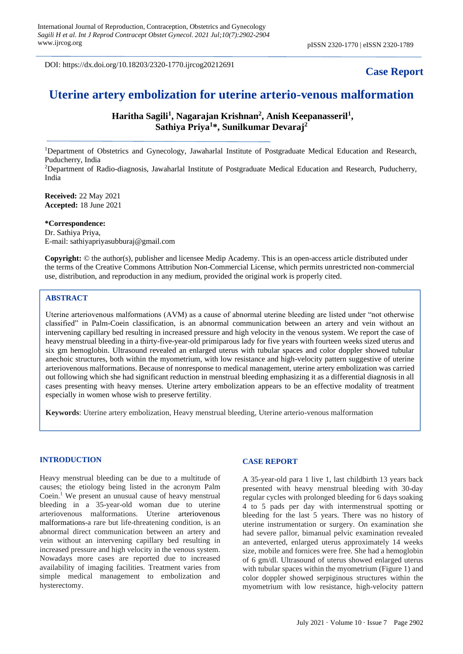DOI: https://dx.doi.org/10.18203/2320-1770.ijrcog20212691

## **Case Report**

# **Uterine artery embolization for uterine arterio-venous malformation**

**Haritha Sagili<sup>1</sup> , Nagarajan Krishnan<sup>2</sup> , Anish Keepanasseril<sup>1</sup> , Sathiya Priya<sup>1</sup> \*, Sunilkumar Devaraj<sup>2</sup>**

<sup>1</sup>Department of Obstetrics and Gynecology, Jawaharlal Institute of Postgraduate Medical Education and Research, Puducherry, India

<sup>2</sup>Department of Radio-diagnosis, Jawaharlal Institute of Postgraduate Medical Education and Research, Puducherry, India

**Received:** 22 May 2021 **Accepted:** 18 June 2021

## **\*Correspondence:**

Dr. Sathiya Priya, E-mail: sathiyapriyasubburaj@gmail.com

**Copyright:** © the author(s), publisher and licensee Medip Academy. This is an open-access article distributed under the terms of the Creative Commons Attribution Non-Commercial License, which permits unrestricted non-commercial use, distribution, and reproduction in any medium, provided the original work is properly cited.

## **ABSTRACT**

Uterine arteriovenous malformations (AVM) as a cause of abnormal uterine bleeding are listed under "not otherwise classified" in Palm-Coein classification, is an abnormal communication between an artery and vein without an intervening capillary bed resulting in increased pressure and high velocity in the venous system. We report the case of heavy menstrual bleeding in a thirty-five-year-old primiparous lady for five years with fourteen weeks sized uterus and six gm hemoglobin. Ultrasound revealed an enlarged uterus with tubular spaces and color doppler showed tubular anechoic structures, both within the myometrium, with low resistance and high-velocity pattern suggestive of uterine arteriovenous malformations. Because of nonresponse to medical management, uterine artery embolization was carried out following which she had significant reduction in menstrual bleeding emphasizing it as a differential diagnosis in all cases presenting with heavy menses. Uterine artery embolization appears to be an effective modality of treatment especially in women whose wish to preserve fertility.

**Keywords**: Uterine artery embolization, Heavy menstrual bleeding, Uterine arterio-venous malformation

#### **INTRODUCTION**

Heavy menstrual bleeding can be due to a multitude of causes; the etiology being listed in the acronym Palm Coein.<sup>1</sup> We present an unusual cause of heavy menstrual bleeding in a 35-year-old woman due to uterine arteriovenous malformations. Uterine arteriovenous malformations-a rare but life-threatening condition, is an abnormal direct communication between an artery and vein without an intervening capillary bed resulting in increased pressure and high velocity in the venous system. Nowadays more cases are reported due to increased availability of imaging facilities. Treatment varies from simple medical management to embolization and hysterectomy.

## **CASE REPORT**

A 35-year-old para 1 live 1, last childbirth 13 years back presented with heavy menstrual bleeding with 30-day regular cycles with prolonged bleeding for 6 days soaking 4 to 5 pads per day with intermenstrual spotting or bleeding for the last 5 years. There was no history of uterine instrumentation or surgery. On examination she had severe pallor, bimanual pelvic examination revealed an anteverted, enlarged uterus approximately 14 weeks size, mobile and fornices were free. She had a hemoglobin of 6 gm/dl. Ultrasound of uterus showed enlarged uterus with tubular spaces within the myometrium (Figure 1) and color doppler showed serpiginous structures within the myometrium with low resistance, high-velocity pattern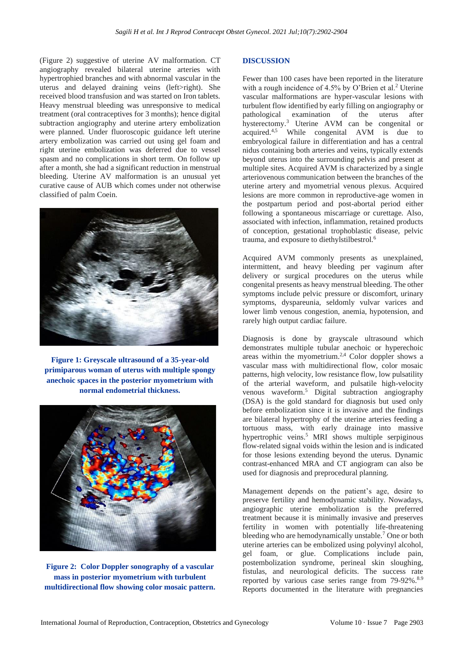(Figure 2) suggestive of uterine AV malformation. CT angiography revealed bilateral uterine arteries with hypertrophied branches and with abnormal vascular in the uterus and delayed draining veins (left>right). She received blood transfusion and was started on Iron tablets. Heavy menstrual bleeding was unresponsive to medical treatment (oral contraceptives for 3 months); hence digital subtraction angiography and uterine artery embolization were planned. Under fluoroscopic guidance left uterine artery embolization was carried out using gel foam and right uterine embolization was deferred due to vessel spasm and no complications in short term. On follow up after a month, she had a significant reduction in menstrual bleeding. Uterine AV malformation is an unusual yet curative cause of AUB which comes under not otherwise classified of palm Coein.



**Figure 1: Greyscale ultrasound of a 35-year-old primiparous woman of uterus with multiple spongy anechoic spaces in the posterior myometrium with normal endometrial thickness.**



**Figure 2: Color Doppler sonography of a vascular mass in posterior myometrium with turbulent multidirectional flow showing color mosaic pattern.**

## **DISCUSSION**

Fewer than 100 cases have been reported in the literature with a rough incidence of  $4.5\%$  by O'Brien et al.<sup>2</sup> Uterine vascular malformations are hyper-vascular lesions with turbulent flow identified by early filling on angiography or pathological examination of the uterus after hysterectomy.<sup>3</sup> Uterine AVM can be congenital or acquired.4,5 While congenital AVM is due to embryological failure in differentiation and has a central nidus containing both arteries and veins, typically extends beyond uterus into the surrounding pelvis and present at multiple sites. Acquired AVM is characterized by a single arteriovenous communication between the branches of the uterine artery and myometrial venous plexus. Acquired lesions are more common in reproductive-age women in the postpartum period and post-abortal period either following a spontaneous miscarriage or curettage. Also, associated with infection, inflammation, retained products of conception, gestational trophoblastic disease, pelvic trauma, and exposure to diethylstilbestrol.<sup>6</sup>

Acquired AVM commonly presents as unexplained, intermittent, and heavy bleeding per vaginum after delivery or surgical procedures on the uterus while congenital presents as heavy menstrual bleeding. The other symptoms include pelvic pressure or discomfort, urinary symptoms, dyspareunia, seldomly vulvar varices and lower limb venous congestion, anemia, hypotension, and rarely high output cardiac failure.

Diagnosis is done by grayscale ultrasound which demonstrates multiple tubular anechoic or hyperechoic areas within the myometrium.<sup>2,4</sup> Color doppler shows a vascular mass with multidirectional flow, color mosaic patterns, high velocity, low resistance flow, low pulsatility of the arterial waveform, and pulsatile high-velocity venous waveform.<sup>5</sup> Digital subtraction angiography (DSA) is the gold standard for diagnosis but used only before embolization since it is invasive and the findings are bilateral hypertrophy of the uterine arteries feeding a tortuous mass, with early drainage into massive hypertrophic veins.<sup>5</sup> MRI shows multiple serpiginous flow-related signal voids within the lesion and is indicated for those lesions extending beyond the uterus. Dynamic contrast-enhanced MRA and CT angiogram can also be used for diagnosis and preprocedural planning.

Management depends on the patient's age, desire to preserve fertility and hemodynamic stability. Nowadays, angiographic uterine embolization is the preferred treatment because it is minimally invasive and preserves fertility in women with potentially life-threatening bleeding who are hemodynamically unstable.<sup>7</sup> One or both uterine arteries can be embolized using polyvinyl alcohol, gel foam, or glue. Complications include pain, postembolization syndrome, perineal skin sloughing, fistulas, and neurological deficits. The success rate reported by various case series range from 79-92%.<sup>8.9</sup> Reports documented in the literature with pregnancies